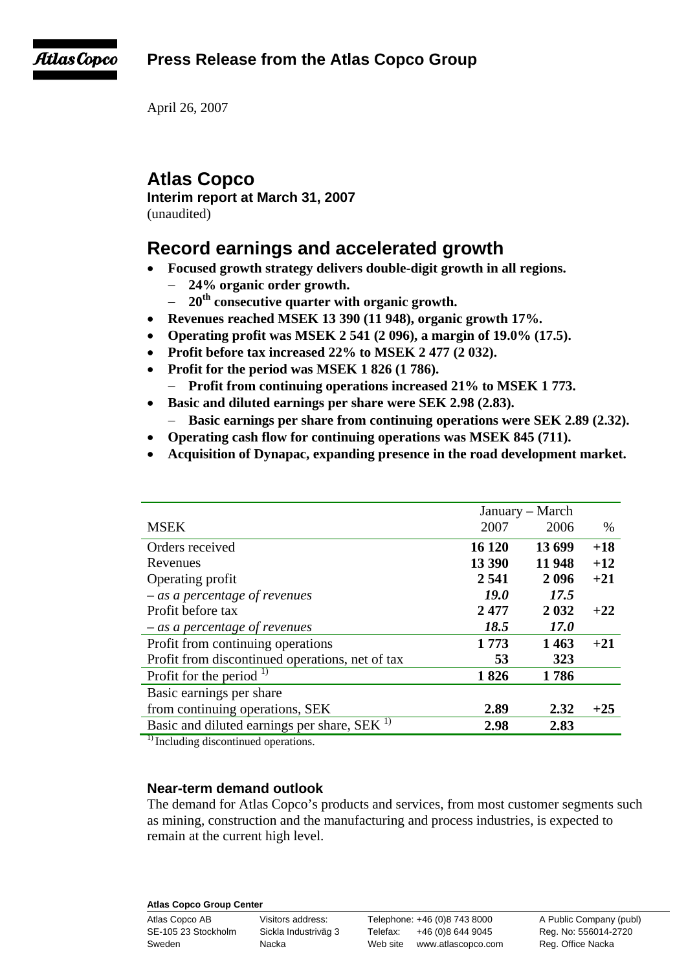**Press Release from the Atlas Copco Group** 



April 26, 2007

# **Atlas Copco**

**Interim report at March 31, 2007** 

(unaudited)

# **Record earnings and accelerated growth**

- **Focused growth strategy delivers double-digit growth in all regions.** 
	- − **24% organic order growth.**
	- − **20th consecutive quarter with organic growth.**
- **Revenues reached MSEK 13 390 (11 948), organic growth 17%.**
- **Operating profit was MSEK 2 541 (2 096), a margin of 19.0% (17.5).**
- **Profit before tax increased 22% to MSEK 2 477 (2 032).**
- **Profit for the period was MSEK 1 826 (1 786).** 
	- Profit from continuing operations increased 21% to MSEK 1773.
- **Basic and diluted earnings per share were SEK 2.98 (2.83).**  Basic earnings per share from continuing operations were SEK 2.89 (2.32).
- **Operating cash flow for continuing operations was MSEK 845 (711).**
- **Acquisition of Dynapac, expanding presence in the road development market.**

|                                                         | January – March |             |       |
|---------------------------------------------------------|-----------------|-------------|-------|
| <b>MSEK</b>                                             | 2007            | 2006        | $\%$  |
| Orders received                                         | 16 120          | 13699       | $+18$ |
| Revenues                                                | 13 390          | 11 948      | $+12$ |
| Operating profit                                        | 2 5 4 1         | 2096        | $+21$ |
| $-$ as a percentage of revenues                         | <i>19.0</i>     | 17.5        |       |
| Profit before tax                                       | 2477            | 2 0 3 2     | $+22$ |
| $-$ as a percentage of revenues                         | 18.5            | <i>17.0</i> |       |
| Profit from continuing operations                       | 1773            | 1463        | $+21$ |
| Profit from discontinued operations, net of tax         | 53              | 323         |       |
| Profit for the period $^{1}$                            | 1826            | 1786        |       |
| Basic earnings per share                                |                 |             |       |
| from continuing operations, SEK                         | 2.89            | 2.32        | $+25$ |
| Basic and diluted earnings per share, SEK <sup>1)</sup> | 2.98            | 2.83        |       |

<sup>1)</sup> Including discontinued operations.

# **Near-term demand outlook**

The demand for Atlas Copco's products and services, from most customer segments such as mining, construction and the manufacturing and process industries, is expected to remain at the current high level.

## **Atlas Copco Group Center**

Atlas Copco AB Visitors address: Telephone: +46 (0)8 743 8000 A Public Company (publ) SE-105 23 Stockholm Sickla Industriväg 3 Telefax: +46 (0)8 644 9045 Reg. No: 556014-2720 Sweden **Nacka** Nacka Web site www.atlascopco.com Reg. Office Nacka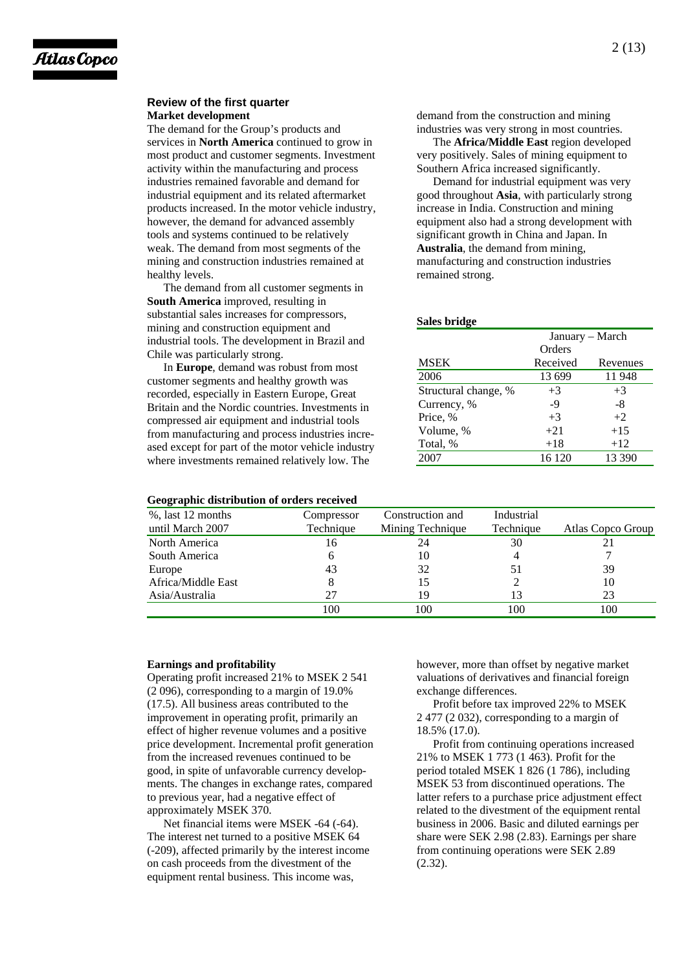#### **Review of the first quarter Market development**

The demand for the Group's products and services in **North America** continued to grow in most product and customer segments. Investment activity within the manufacturing and process industries remained favorable and demand for industrial equipment and its related aftermarket products increased. In the motor vehicle industry, however, the demand for advanced assembly tools and systems continued to be relatively weak. The demand from most segments of the mining and construction industries remained at healthy levels.

The demand from all customer segments in **South America** improved, resulting in substantial sales increases for compressors, mining and construction equipment and industrial tools. The development in Brazil and Chile was particularly strong.

In **Europe**, demand was robust from most customer segments and healthy growth was recorded, especially in Eastern Europe, Great Britain and the Nordic countries. Investments in compressed air equipment and industrial tools from manufacturing and process industries increased except for part of the motor vehicle industry where investments remained relatively low. The

**Geographic distribution of orders received** 

demand from the construction and mining industries was very strong in most countries.

The **Africa/Middle East** region developed very positively. Sales of mining equipment to Southern Africa increased significantly.

Demand for industrial equipment was very good throughout **Asia**, with particularly strong increase in India. Construction and mining equipment also had a strong development with significant growth in China and Japan. In **Australia**, the demand from mining, manufacturing and construction industries remained strong.

#### **Sales bridge**

|                      | January – March |          |  |
|----------------------|-----------------|----------|--|
|                      | Orders          |          |  |
| <b>MSEK</b>          | Received        | Revenues |  |
| 2006                 | 13 699          | 11948    |  |
| Structural change, % | $+3$            | $+3$     |  |
| Currency, %          | $-9$            | -8       |  |
| Price, %             | $+3$            | $+2$     |  |
| Volume, %            | $+21$           | $+15$    |  |
| Total, %             | $+18$           | $+12$    |  |
| 2007                 | 16 120          | 13 390   |  |

| Geographic distribution of orders received |            |                  |            |                   |
|--------------------------------------------|------------|------------------|------------|-------------------|
| %, last 12 months                          | Compressor | Construction and | Industrial |                   |
| until March 2007                           | Technique  | Mining Technique | Technique  | Atlas Copco Group |
| North America                              | 16         | 24               | 30         |                   |
| South America                              | h          | 10               |            |                   |
| Europe                                     | 43         | 32               | 51         | 39                |
| Africa/Middle East                         |            | 15               |            | 10                |
| Asia/Australia                             | 27         | 19               | 13         | 23                |
|                                            | 100        | 100              | 100        | 100               |

#### **Earnings and profitability**

Operating profit increased 21% to MSEK 2 541 (2 096), corresponding to a margin of 19.0% (17.5). All business areas contributed to the improvement in operating profit, primarily an effect of higher revenue volumes and a positive price development. Incremental profit generation from the increased revenues continued to be good, in spite of unfavorable currency developments. The changes in exchange rates, compared to previous year, had a negative effect of approximately MSEK 370.

Net financial items were MSEK -64 (-64). The interest net turned to a positive MSEK 64 (-209), affected primarily by the interest income on cash proceeds from the divestment of the equipment rental business. This income was,

however, more than offset by negative market valuations of derivatives and financial foreign exchange differences.

Profit before tax improved 22% to MSEK 2 477 (2 032), corresponding to a margin of 18.5% (17.0).

Profit from continuing operations increased 21% to MSEK 1 773 (1 463). Profit for the period totaled MSEK 1 826 (1 786), including MSEK 53 from discontinued operations. The latter refers to a purchase price adjustment effect related to the divestment of the equipment rental business in 2006. Basic and diluted earnings per share were SEK 2.98 (2.83). Earnings per share from continuing operations were SEK 2.89 (2.32).

## 2 (13)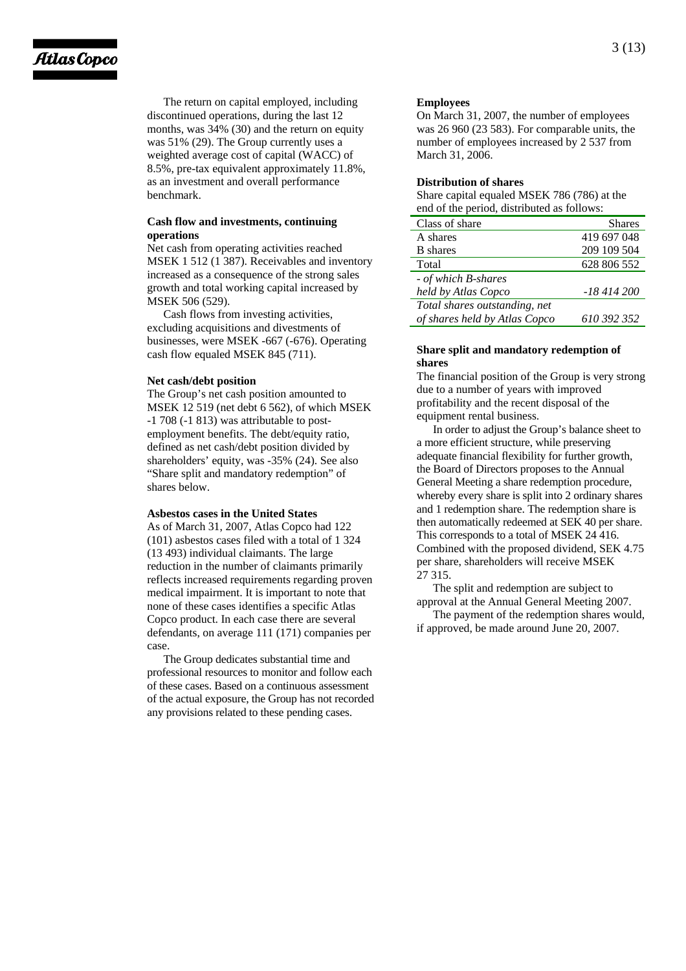# Atlas Copco

The return on capital employed, including discontinued operations, during the last 12 months, was 34% (30) and the return on equity was 51% (29). The Group currently uses a weighted average cost of capital (WACC) of 8.5%, pre-tax equivalent approximately 11.8%, as an investment and overall performance benchmark.

## **Cash flow and investments, continuing operations**

Net cash from operating activities reached MSEK 1 512 (1 387). Receivables and inventory increased as a consequence of the strong sales growth and total working capital increased by MSEK 506 (529).

Cash flows from investing activities, excluding acquisitions and divestments of businesses, were MSEK -667 (-676). Operating cash flow equaled MSEK 845 (711).

## **Net cash/debt position**

The Group's net cash position amounted to MSEK 12 519 (net debt 6 562), of which MSEK -1 708 (-1 813) was attributable to postemployment benefits. The debt/equity ratio, defined as net cash/debt position divided by shareholders' equity, was -35% (24). See also "Share split and mandatory redemption" of shares below.

## **Asbestos cases in the United States**

As of March 31, 2007, Atlas Copco had 122 (101) asbestos cases filed with a total of 1 324 (13 493) individual claimants. The large reduction in the number of claimants primarily reflects increased requirements regarding proven medical impairment. It is important to note that none of these cases identifies a specific Atlas Copco product. In each case there are several defendants, on average 111 (171) companies per case.

The Group dedicates substantial time and professional resources to monitor and follow each of these cases. Based on a continuous assessment of the actual exposure, the Group has not recorded any provisions related to these pending cases.

## **Employees**

On March 31, 2007, the number of employees was 26 960 (23 583). For comparable units, the number of employees increased by 2 537 from March 31, 2006.

## **Distribution of shares**

Share capital equaled MSEK 786 (786) at the end of the period, distributed as follows:

| Class of share                | <b>Shares</b> |
|-------------------------------|---------------|
| A shares                      | 419 697 048   |
| <b>B</b> shares               | 209 109 504   |
| Total                         | 628 806 552   |
| - of which B-shares           |               |
| held by Atlas Copco           | -18 414 200   |
| Total shares outstanding, net |               |
| of shares held by Atlas Copco | 610 392 352   |

## **Share split and mandatory redemption of shares**

The financial position of the Group is very strong due to a number of years with improved profitability and the recent disposal of the equipment rental business.

In order to adjust the Group's balance sheet to a more efficient structure, while preserving adequate financial flexibility for further growth, the Board of Directors proposes to the Annual General Meeting a share redemption procedure, whereby every share is split into 2 ordinary shares and 1 redemption share. The redemption share is then automatically redeemed at SEK 40 per share. This corresponds to a total of MSEK 24 416. Combined with the proposed dividend, SEK 4.75 per share, shareholders will receive MSEK 27 315.

The split and redemption are subject to approval at the Annual General Meeting 2007.

The payment of the redemption shares would, if approved, be made around June 20, 2007.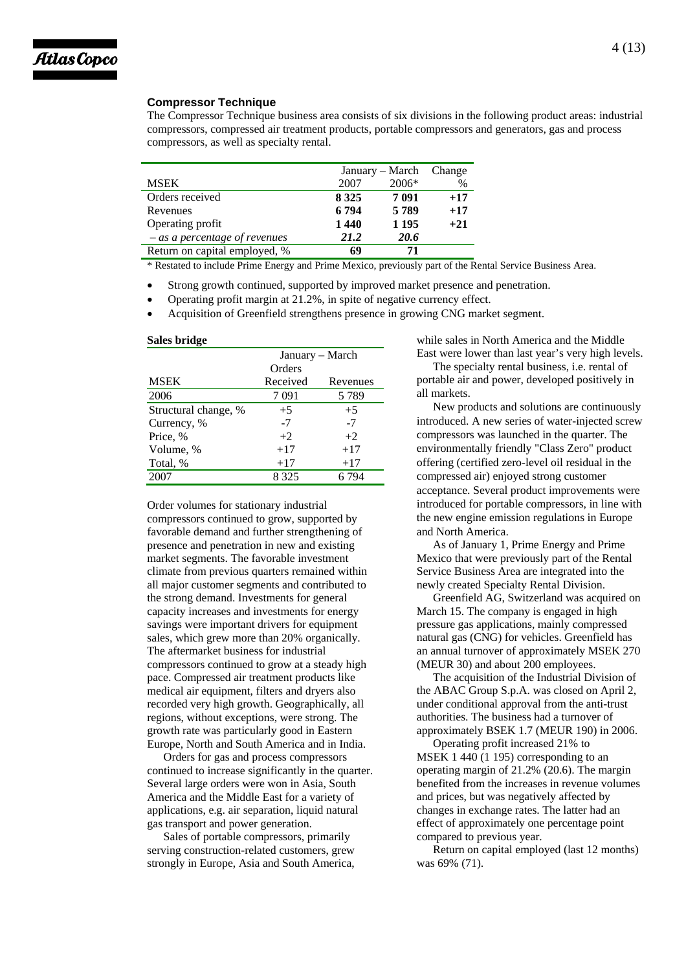

## **Compressor Technique**

The Compressor Technique business area consists of six divisions in the following product areas: industrial compressors, compressed air treatment products, portable compressors and generators, gas and process compressors, as well as specialty rental.

|                                 | January – March |         | Change |
|---------------------------------|-----------------|---------|--------|
| MSEK                            | 2007            | 2006*   | %      |
| Orders received                 | 8 3 2 5         | 7 0 9 1 | $+17$  |
| Revenues                        | 6794            | 5789    | $+17$  |
| Operating profit                | 1440            | 1 1 9 5 | $+21$  |
| $-$ as a percentage of revenues | 21.2            | 20.6    |        |
| Return on capital employed, %   | 69              | 71      |        |

\* Restated to include Prime Energy and Prime Mexico, previously part of the Rental Service Business Area.

- Strong growth continued, supported by improved market presence and penetration.
- Operating profit margin at 21.2%, in spite of negative currency effect.
- Acquisition of Greenfield strengthens presence in growing CNG market segment.

| Sales bridge         |                 |          |  |
|----------------------|-----------------|----------|--|
|                      | January – March |          |  |
|                      | Orders          |          |  |
| <b>MSEK</b>          | Received        | Revenues |  |
| 2006                 | 7 091           | 5789     |  |
| Structural change, % | $+5$            | $+5$     |  |
| Currency, %          | $-7$            | $-7$     |  |
| Price, %             | $+2$            | $+2$     |  |
| Volume, %            | $+17$           | $+17$    |  |
| Total, %             | $+17$           | $+17$    |  |
| 2007                 | 8 3 2 5         | 6 794    |  |

Order volumes for stationary industrial compressors continued to grow, supported by favorable demand and further strengthening of presence and penetration in new and existing market segments. The favorable investment climate from previous quarters remained within all major customer segments and contributed to the strong demand. Investments for general capacity increases and investments for energy savings were important drivers for equipment sales, which grew more than 20% organically. The aftermarket business for industrial compressors continued to grow at a steady high pace. Compressed air treatment products like medical air equipment, filters and dryers also recorded very high growth. Geographically, all regions, without exceptions, were strong. The growth rate was particularly good in Eastern Europe, North and South America and in India.

Orders for gas and process compressors continued to increase significantly in the quarter. Several large orders were won in Asia, South America and the Middle East for a variety of applications, e.g. air separation, liquid natural gas transport and power generation.

Sales of portable compressors, primarily serving construction-related customers, grew strongly in Europe, Asia and South America, while sales in North America and the Middle East were lower than last year's very high levels.

The specialty rental business, i.e. rental of portable air and power, developed positively in all markets.

New products and solutions are continuously introduced. A new series of water-injected screw compressors was launched in the quarter. The environmentally friendly "Class Zero" product offering (certified zero-level oil residual in the compressed air) enjoyed strong customer acceptance. Several product improvements were introduced for portable compressors, in line with the new engine emission regulations in Europe and North America.

As of January 1, Prime Energy and Prime Mexico that were previously part of the Rental Service Business Area are integrated into the newly created Specialty Rental Division.

Greenfield AG, Switzerland was acquired on March 15. The company is engaged in high pressure gas applications, mainly compressed natural gas (CNG) for vehicles. Greenfield has an annual turnover of approximately MSEK 270 (MEUR 30) and about 200 employees. The acquisition of the Industrial Division of

the ABAC Group S.p.A. was closed on April 2, under conditional approval from the anti-trust authorities. The business had a turnover of approximately BSEK 1.7 (MEUR 190) in 2006.

Operating profit increased 21% to MSEK 1 440 (1 195) corresponding to an operating margin of 21.2% (20.6). The margin benefited from the increases in revenue volumes and prices, but was negatively affected by changes in exchange rates. The latter had an effect of approximately one percentage point compared to previous year.

Return on capital employed (last 12 months) was 69% (71).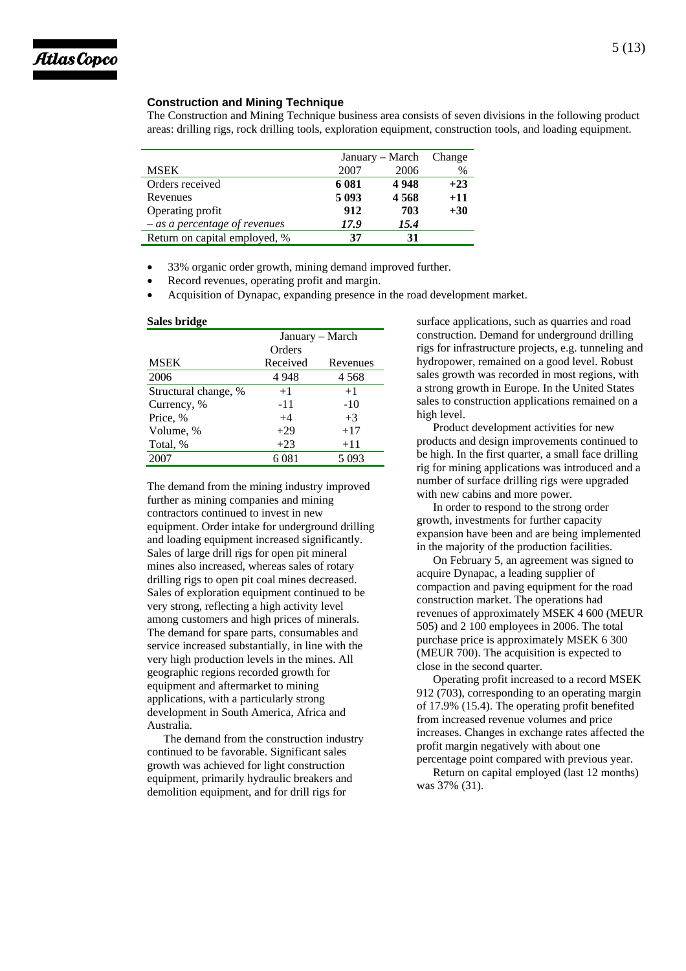

## **Construction and Mining Technique**

The Construction and Mining Technique business area consists of seven divisions in the following product areas: drilling rigs, rock drilling tools, exploration equipment, construction tools, and loading equipment.

|                                 | January – March |      | Change |
|---------------------------------|-----------------|------|--------|
| <b>MSEK</b>                     | 2007            | 2006 | $\%$   |
| Orders received                 | 6 0 8 1         | 4948 | $+23$  |
| Revenues                        | 5 0 9 3         | 4568 | $+11$  |
| Operating profit                | 912             | 703  | $+30$  |
| $-$ as a percentage of revenues | 17.9            | 15.4 |        |
| Return on capital employed, %   | 37              | 31   |        |

- 33% organic order growth, mining demand improved further.
- Record revenues, operating profit and margin.
- Acquisition of Dynapac, expanding presence in the road development market.

#### **Sales bridge**

|                      | January – March |          |  |
|----------------------|-----------------|----------|--|
|                      | Orders          |          |  |
| <b>MSEK</b>          | Received        | Revenues |  |
| 2006                 | 4948            | 4 5 6 8  |  |
| Structural change, % | $+1$            | $+1$     |  |
| Currency, %          | -11             | $-10$    |  |
| Price, %             | $+4$            | $+3$     |  |
| Volume, %            | $+29$           | $+17$    |  |
| Total, %             | $+23$           | $+11$    |  |
| 2007                 | 6081            | 5 0 9 3  |  |

The demand from the mining industry improved further as mining companies and mining contractors continued to invest in new equipment. Order intake for underground drilling and loading equipment increased significantly. Sales of large drill rigs for open pit mineral mines also increased, whereas sales of rotary drilling rigs to open pit coal mines decreased. Sales of exploration equipment continued to be very strong, reflecting a high activity level among customers and high prices of minerals. The demand for spare parts, consumables and service increased substantially, in line with the very high production levels in the mines. All geographic regions recorded growth for equipment and aftermarket to mining applications, with a particularly strong development in South America, Africa and Australia.

The demand from the construction industry continued to be favorable. Significant sales growth was achieved for light construction equipment, primarily hydraulic breakers and demolition equipment, and for drill rigs for

surface applications, such as quarries and road construction. Demand for underground drilling rigs for infrastructure projects, e.g. tunneling and hydropower, remained on a good level. Robust sales growth was recorded in most regions, with a strong growth in Europe. In the United States sales to construction applications remained on a high level.

Product development activities for new products and design improvements continued to be high. In the first quarter, a small face drilling rig for mining applications was introduced and a number of surface drilling rigs were upgraded with new cabins and more power.

In order to respond to the strong order growth, investments for further capacity expansion have been and are being implemented in the majority of the production facilities.

On February 5, an agreement was signed to acquire Dynapac, a leading supplier of compaction and paving equipment for the road construction market. The operations had revenues of approximately MSEK 4 600 (MEUR 505) and 2 100 employees in 2006. The total purchase price is approximately MSEK 6 300 (MEUR 700). The acquisition is expected to close in the second quarter.

Operating profit increased to a record MSEK 912 (703), corresponding to an operating margin of 17.9% (15.4). The operating profit benefited from increased revenue volumes and price increases. Changes in exchange rates affected the profit margin negatively with about one percentage point compared with previous year.

Return on capital employed (last 12 months) was 37% (31).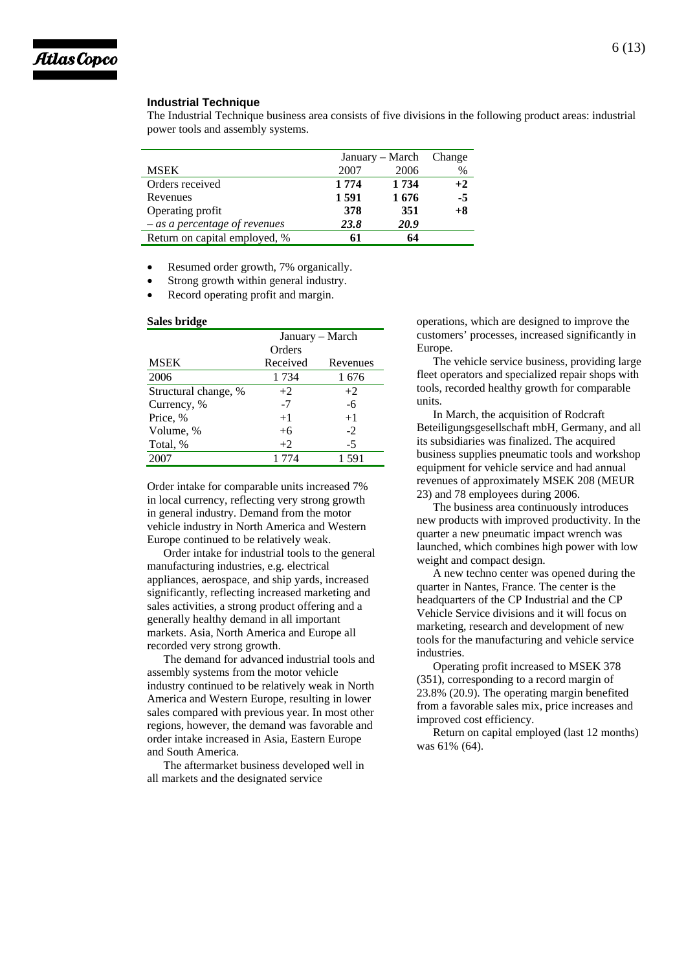

#### **Industrial Technique**

The Industrial Technique business area consists of five divisions in the following product areas: industrial power tools and assembly systems.

|                                 | January – March |         | Change |
|---------------------------------|-----------------|---------|--------|
| <b>MSEK</b>                     | 2007            | 2006    | $\%$   |
| Orders received                 | 1 7 7 4         | 1 7 3 4 | $+2$   |
| Revenues                        | 1591            | 1676    | $-5$   |
| Operating profit                | 378             | 351     | $+8$   |
| $-$ as a percentage of revenues | 23.8            | 20.9    |        |
| Return on capital employed, %   | 61              | 64      |        |

Resumed order growth, 7% organically.

- Strong growth within general industry.
- Record operating profit and margin.

#### **Sales bridge**

|                      | January – March |          |  |
|----------------------|-----------------|----------|--|
|                      | Orders          |          |  |
| <b>MSEK</b>          | Received        | Revenues |  |
| 2006                 | 1 7 3 4         | 1676     |  |
| Structural change, % | $+2$            | $+2$     |  |
| Currency, %          | $-7$            | -6       |  |
| Price, %             | $+1$            | $+1$     |  |
| Volume, %            | $+6$            | $-2$     |  |
| Total, %             | $+2$            | $-5$     |  |
| 2007                 | 1 774           | 1 591    |  |

Order intake for comparable units increased 7% in local currency, reflecting very strong growth in general industry. Demand from the motor vehicle industry in North America and Western Europe continued to be relatively weak.

Order intake for industrial tools to the general manufacturing industries, e.g. electrical appliances, aerospace, and ship yards, increased significantly, reflecting increased marketing and sales activities, a strong product offering and a generally healthy demand in all important markets. Asia, North America and Europe all recorded very strong growth.

The demand for advanced industrial tools and assembly systems from the motor vehicle industry continued to be relatively weak in North America and Western Europe, resulting in lower sales compared with previous year. In most other regions, however, the demand was favorable and order intake increased in Asia, Eastern Europe and South America.

The aftermarket business developed well in all markets and the designated service

operations, which are designed to improve the customers' processes, increased significantly in Europe.

The vehicle service business, providing large fleet operators and specialized repair shops with tools, recorded healthy growth for comparable units.

In March, the acquisition of Rodcraft Beteiligungsgesellschaft mbH, Germany, and all its subsidiaries was finalized. The acquired business supplies pneumatic tools and workshop equipment for vehicle service and had annual revenues of approximately MSEK 208 (MEUR 23) and 78 employees during 2006.

The business area continuously introduces new products with improved productivity. In the quarter a new pneumatic impact wrench was launched, which combines high power with low weight and compact design.

A new techno center was opened during the quarter in Nantes, France. The center is the headquarters of the CP Industrial and the CP Vehicle Service divisions and it will focus on marketing, research and development of new tools for the manufacturing and vehicle service industries.

Operating profit increased to MSEK 378 (351), corresponding to a record margin of 23.8% (20.9). The operating margin benefited from a favorable sales mix, price increases and improved cost efficiency.

Return on capital employed (last 12 months) was 61% (64).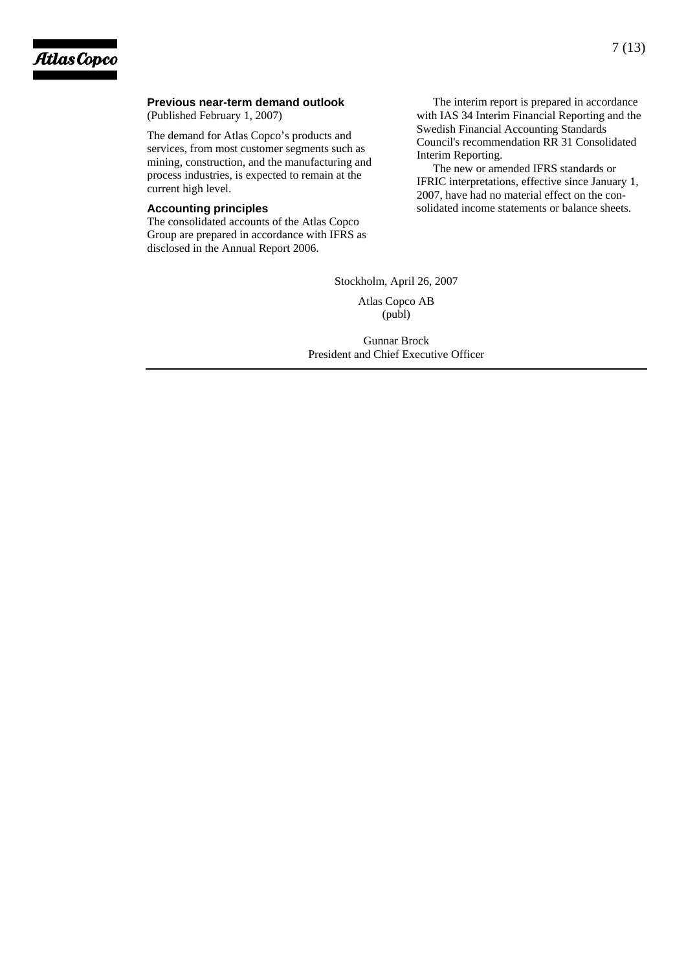## **Previous near-term demand outlook**

(Published February 1, 2007)

The demand for Atlas Copco's products and services, from most customer segments such as mining, construction, and the manufacturing and process industries, is expected to remain at the current high level.

## **Accounting principles**

The consolidated accounts of the Atlas Copco Group are prepared in accordance with IFRS as disclosed in the Annual Report 2006.

The interim report is prepared in accordance with IAS 34 Interim Financial Reporting and the Swedish Financial Accounting Standards Council's recommendation RR 31 Consolidated Interim Reporting.

The new or amended IFRS standards or IFRIC interpretations, effective since January 1, 2007, have had no material effect on the consolidated income statements or balance sheets.

Stockholm, April 26, 2007

Atlas Copco AB (publ)

Gunnar Brock President and Chief Executive Officer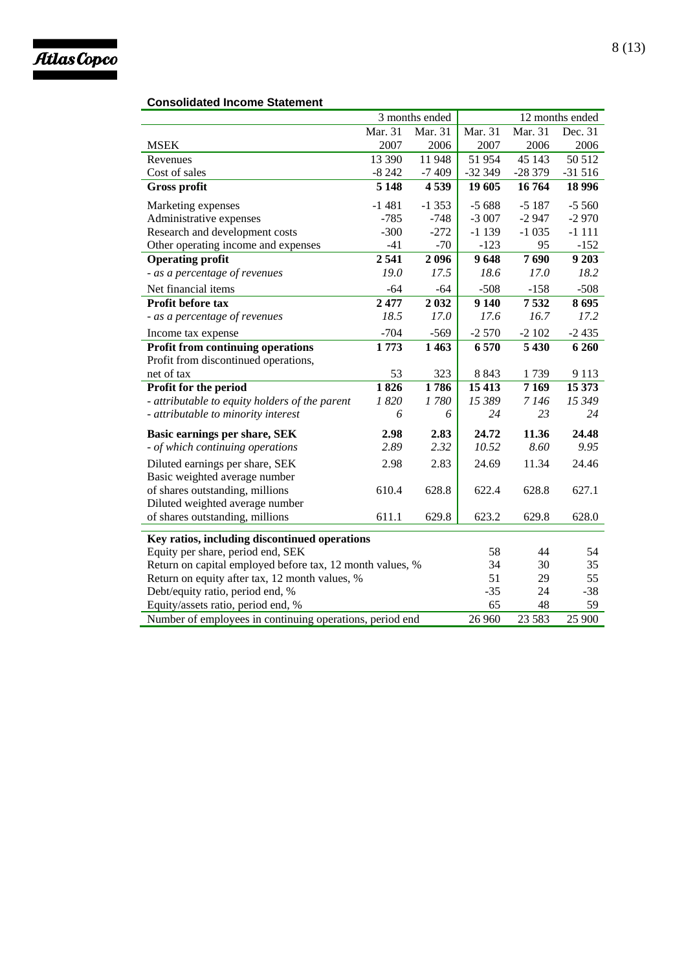

## **Consolidated Income Statement**

|                                                           | 3 months ended |         |          |          | 12 months ended |
|-----------------------------------------------------------|----------------|---------|----------|----------|-----------------|
|                                                           | Mar. 31        | Mar. 31 | Mar. 31  | Mar. 31  | Dec. 31         |
| <b>MSEK</b>                                               | 2007           | 2006    | 2007     | 2006     | 2006            |
| Revenues                                                  | 13 390         | 11948   | 51954    | 45 143   | 50 512          |
| Cost of sales                                             | $-8242$        | $-7409$ | $-32349$ | $-28379$ | $-31516$        |
| <b>Gross profit</b>                                       | 5 1 4 8        | 4539    | 19 605   | 16764    | 18 996          |
| Marketing expenses                                        | $-1481$        | $-1353$ | $-5688$  | $-5187$  | $-5560$         |
| Administrative expenses                                   | $-785$         | $-748$  | $-3007$  | $-2947$  | $-2970$         |
| Research and development costs                            | $-300$         | $-272$  | $-1139$  | $-1035$  | $-1111$         |
| Other operating income and expenses                       | $-41$          | $-70$   | $-123$   | 95       | $-152$          |
| <b>Operating profit</b>                                   | 2541           | 2096    | 9648     | 7690     | 9 2 0 3         |
| - as a percentage of revenues                             | 19.0           | 17.5    | 18.6     | 17.0     | 18.2            |
| Net financial items                                       | $-64$          | $-64$   | $-508$   | $-158$   | $-508$          |
| <b>Profit before tax</b>                                  | 2477           | 2032    | 9140     | 7532     | 8695            |
| - as a percentage of revenues                             | 18.5           | 17.0    | 17.6     | 16.7     | 17.2            |
| Income tax expense                                        | $-704$         | $-569$  | $-2570$  | $-2102$  | $-2435$         |
| <b>Profit from continuing operations</b>                  | 1773           | 1463    | 6570     | 5 4 3 0  | 6 2 6 0         |
| Profit from discontinued operations,                      |                |         |          |          |                 |
| net of tax                                                | 53             | 323     | 8 8 4 3  | 1739     | 9 1 1 3         |
| Profit for the period                                     | 1826           | 1786    | 15 4 13  | 7169     | 15 373          |
| - attributable to equity holders of the parent            | 1820           | 1780    | 15 389   | 7 1 4 6  | 15 349          |
| - attributable to minority interest                       | 6              | 6       | 24       | 23       | 24              |
| Basic earnings per share, SEK                             | 2.98           | 2.83    | 24.72    | 11.36    | 24.48           |
| - of which continuing operations                          | 2.89           | 2.32    | 10.52    | 8.60     | 9.95            |
| Diluted earnings per share, SEK                           | 2.98           | 2.83    | 24.69    | 11.34    | 24.46           |
| Basic weighted average number                             |                |         |          |          |                 |
| of shares outstanding, millions                           | 610.4          | 628.8   | 622.4    | 628.8    | 627.1           |
| Diluted weighted average number                           |                |         |          |          |                 |
| of shares outstanding, millions                           | 611.1          | 629.8   | 623.2    | 629.8    | 628.0           |
| Key ratios, including discontinued operations             |                |         |          |          |                 |
| Equity per share, period end, SEK                         |                |         | 58       | 44       | 54              |
| Return on capital employed before tax, 12 month values, % |                |         | 34       | 30       | 35              |
| Return on equity after tax, 12 month values, %            |                |         | 51       | 29       | 55              |
| Debt/equity ratio, period end, %                          |                |         | $-35$    | 24       | $-38$           |
| Equity/assets ratio, period end, %                        |                |         | 65       | 48       | 59              |
| Number of employees in continuing operations, period end  |                |         | 26 960   | 23 5 83  | 25 900          |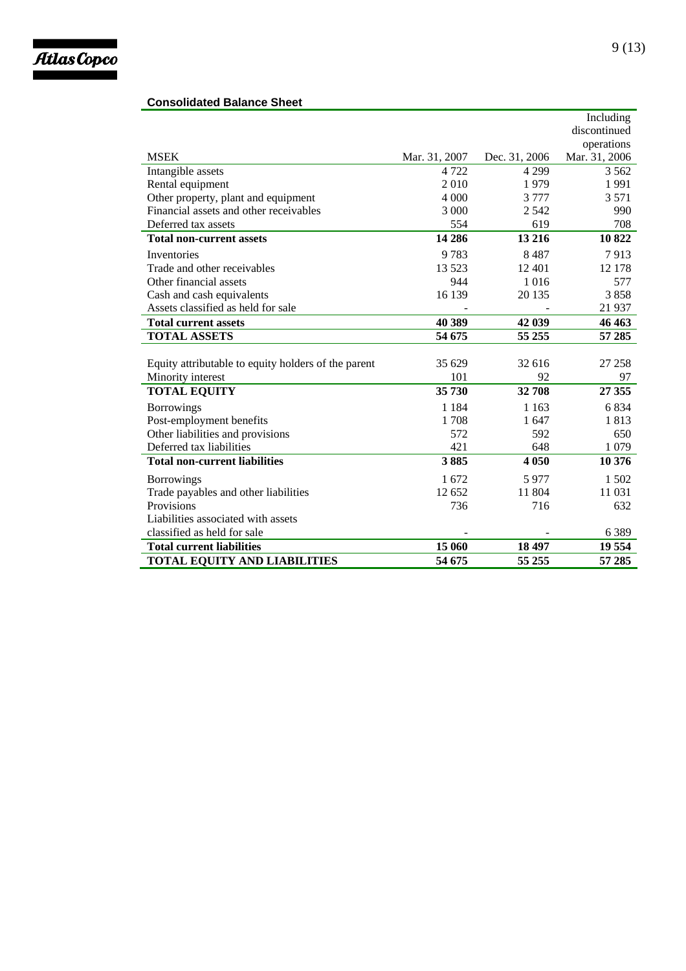

## **Consolidated Balance Sheet**

|                                                     |               |               | Including     |
|-----------------------------------------------------|---------------|---------------|---------------|
|                                                     |               |               | discontinued  |
|                                                     |               |               | operations    |
| <b>MSEK</b>                                         | Mar. 31, 2007 | Dec. 31, 2006 | Mar. 31, 2006 |
| Intangible assets                                   | 4 7 2 2       | 4 2 9 9       | 3 5 6 2       |
| Rental equipment                                    | 2010          | 1979          | 1991          |
| Other property, plant and equipment                 | 4 0 0 0       | 3 7 7 7       | 3571          |
| Financial assets and other receivables              | 3 0 0 0       | 2542          | 990           |
| Deferred tax assets                                 | 554           | 619           | 708           |
| <b>Total non-current assets</b>                     | 14 28 6       | 13 216        | 10822         |
| Inventories                                         | 9783          | 8487          | 7913          |
| Trade and other receivables                         | 13 523        | 12 401        | 12 178        |
| Other financial assets                              | 944           | 1016          | 577           |
| Cash and cash equivalents                           | 16 139        | 20 135        | 3858          |
| Assets classified as held for sale                  |               |               | 21 9 37       |
| <b>Total current assets</b>                         | 40 389        | 42 039        | 46 463        |
| <b>TOTAL ASSETS</b>                                 | 54 675        | 55 255        | 57 285        |
|                                                     |               |               |               |
| Equity attributable to equity holders of the parent | 35 629        | 32 616        | 27 258        |
| Minority interest                                   | 101           | 92            | 97            |
| <b>TOTAL EQUITY</b>                                 | 35 730        | 32708         | 27 355        |
| <b>Borrowings</b>                                   | 1 1 8 4       | 1 1 6 3       | 6834          |
| Post-employment benefits                            | 1708          | 1 647         | 1813          |
| Other liabilities and provisions                    | 572           | 592           | 650           |
| Deferred tax liabilities                            | 421           | 648           | 1 0 7 9       |
| <b>Total non-current liabilities</b>                | 3885          | 4 0 5 0       | 10 376        |
| <b>Borrowings</b>                                   | 1672          | 5977          | 1 502         |
| Trade payables and other liabilities                | 12 652        | 11 804        | 11 031        |
| Provisions                                          | 736           | 716           | 632           |
| Liabilities associated with assets                  |               |               |               |
| classified as held for sale                         |               |               | 6389          |
| <b>Total current liabilities</b>                    | 15 060        | 18 497        | 19 554        |
| <b>TOTAL EQUITY AND LIABILITIES</b>                 | 54 675        | 55 255        | 57 285        |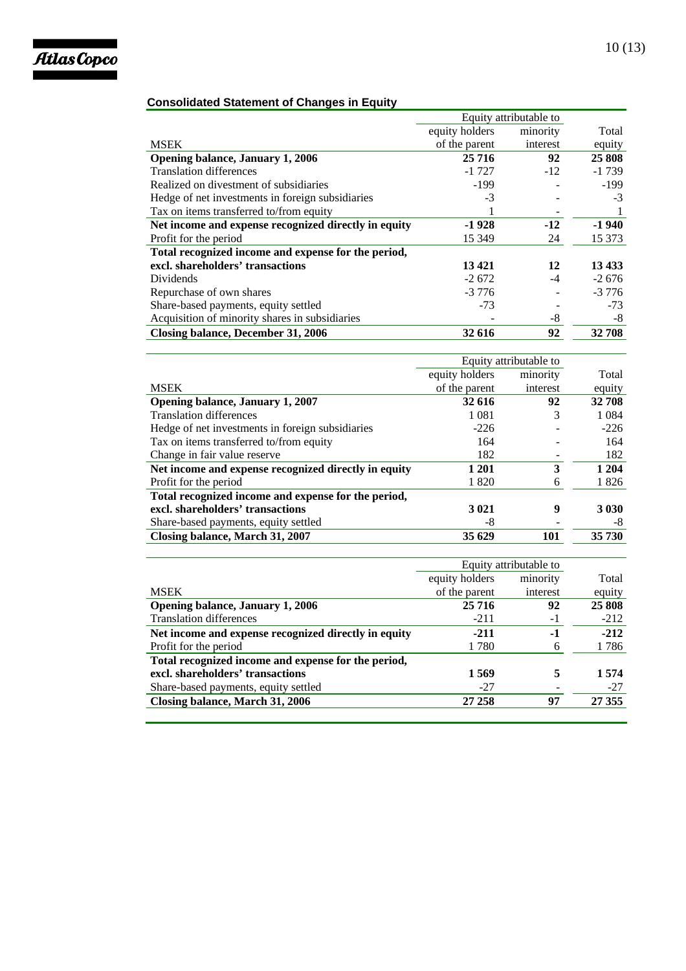

## **Consolidated Statement of Changes in Equity**

|                                                      | Equity attributable to |          |         |
|------------------------------------------------------|------------------------|----------|---------|
|                                                      | equity holders         | minority | Total   |
| <b>MSEK</b>                                          | of the parent          | interest | equity  |
| Opening balance, January 1, 2006                     | 25 7 16                | 92       | 25 808  |
| <b>Translation differences</b>                       | $-1727$                | $-12$    | $-1739$ |
| Realized on divestment of subsidiaries               | $-199$                 |          | $-199$  |
| Hedge of net investments in foreign subsidiaries     | $-3$                   |          | $-3$    |
| Tax on items transferred to/from equity              |                        |          |         |
| Net income and expense recognized directly in equity | $-1928$                | $-12$    | $-1940$ |
| Profit for the period                                | 15 3 49                | 24       | 15 373  |
| Total recognized income and expense for the period,  |                        |          |         |
| excl. shareholders' transactions                     | 13421                  | 12       | 13 4 33 |
| Dividends                                            | $-2672$                | $-4$     | $-2676$ |
| Repurchase of own shares                             | $-3776$                |          | $-3776$ |
| Share-based payments, equity settled                 | $-73$                  |          | $-73$   |
| Acquisition of minority shares in subsidiaries       |                        | -8       | -8      |
| Closing balance, December 31, 2006                   | 32 616                 | 92       | 32 708  |

|                                                      | Equity attributable to |          |         |
|------------------------------------------------------|------------------------|----------|---------|
|                                                      | equity holders         | minority | Total   |
| <b>MSEK</b>                                          | of the parent          | interest | equity  |
| Opening balance, January 1, 2007                     | 32 616                 | 92       | 32 708  |
| <b>Translation differences</b>                       | 1 0 8 1                | 3        | 1 0 8 4 |
| Hedge of net investments in foreign subsidiaries     | $-226$                 |          | $-226$  |
| Tax on items transferred to/from equity              | 164                    |          | 164     |
| Change in fair value reserve                         | 182                    |          | 182     |
| Net income and expense recognized directly in equity | 1 201                  | 3        | 1 204   |
| Profit for the period                                | 1820                   | 6        | 1826    |
| Total recognized income and expense for the period,  |                        |          |         |
| excl. shareholders' transactions                     | 3 0 21                 | 9        | 3 0 3 0 |
| Share-based payments, equity settled                 | -8                     |          | -8      |
| Closing balance, March 31, 2007                      | 35 629                 | 101      | 35 730  |

|                                                      | Equity attributable to |          |        |
|------------------------------------------------------|------------------------|----------|--------|
|                                                      | equity holders         | minority | Total  |
| <b>MSEK</b>                                          | of the parent          | interest | equity |
| <b>Opening balance, January 1, 2006</b>              | 25 7 16                | 92       | 25 808 |
| <b>Translation differences</b>                       | $-211$                 | -1       | $-212$ |
| Net income and expense recognized directly in equity | $-211$                 | -1       | $-212$ |
| Profit for the period                                | 1780                   | 6        | 1786   |
| Total recognized income and expense for the period,  |                        |          |        |
| excl. shareholders' transactions                     | 1 5 6 9                |          | 1574   |
| Share-based payments, equity settled                 | -27                    |          | $-27$  |
| Closing balance, March 31, 2006                      | 27 258                 | 97       | 27 355 |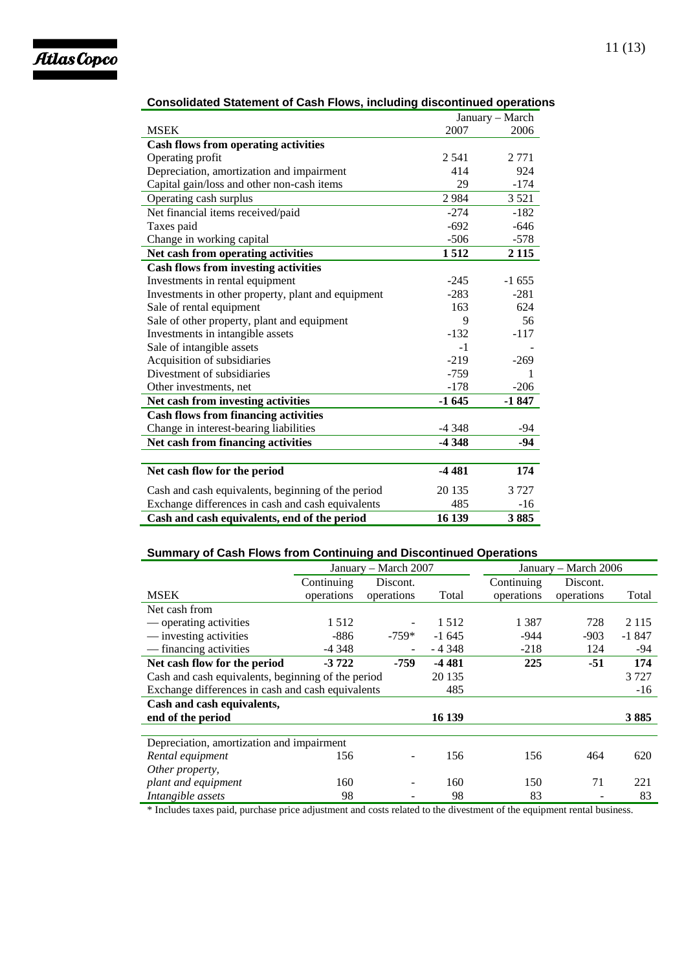

|                                                    | January - March |         |  |
|----------------------------------------------------|-----------------|---------|--|
| <b>MSEK</b>                                        | 2007            | 2006    |  |
| <b>Cash flows from operating activities</b>        |                 |         |  |
| Operating profit                                   | 2 5 4 1         | 2 7 7 1 |  |
| Depreciation, amortization and impairment          | 414             | 924     |  |
| Capital gain/loss and other non-cash items         | 29              | $-174$  |  |
| Operating cash surplus                             | 2984            | 3 5 2 1 |  |
| Net financial items received/paid                  | $-274$          | $-182$  |  |
| Taxes paid                                         | $-692$          | $-646$  |  |
| Change in working capital                          | $-506$          | $-578$  |  |
| Net cash from operating activities                 | 1512            | 2 1 1 5 |  |
| <b>Cash flows from investing activities</b>        |                 |         |  |
| Investments in rental equipment                    | $-245$          | $-1655$ |  |
| Investments in other property, plant and equipment | $-283$          | $-281$  |  |
| Sale of rental equipment                           | 163             | 624     |  |
| Sale of other property, plant and equipment        | 9               | 56      |  |
| Investments in intangible assets                   | $-132$          | $-117$  |  |
| Sale of intangible assets                          | $-1$            |         |  |
| Acquisition of subsidiaries                        | $-219$          | $-269$  |  |
| Divestment of subsidiaries                         | $-759$          |         |  |
| Other investments, net                             | $-178$          | $-206$  |  |
| Net cash from investing activities                 | $-1645$         | $-1847$ |  |
| <b>Cash flows from financing activities</b>        |                 |         |  |
| Change in interest-bearing liabilities             | $-4348$         | -94     |  |
| Net cash from financing activities                 | -4 348          | $-94$   |  |
|                                                    |                 |         |  |
| Net cash flow for the period                       | $-4481$         | 174     |  |
| Cash and cash equivalents, beginning of the period | 20 135          | 3727    |  |
| Exchange differences in cash and cash equivalents  | 485             | $-16$   |  |
| Cash and cash equivalents, end of the period       | 16 139          | 3885    |  |

## **Consolidated Statement of Cash Flows, including discontinued operations**

## **Summary of Cash Flows from Continuing and Discontinued Operations**

|                                                    | January - March 2007 |                          |          | January – March 2006 |            |         |
|----------------------------------------------------|----------------------|--------------------------|----------|----------------------|------------|---------|
|                                                    | Continuing           | Discont.                 |          | Continuing           | Discont.   |         |
| <b>MSEK</b>                                        | operations           | operations               | Total    | operations           | operations | Total   |
| Net cash from                                      |                      |                          |          |                      |            |         |
| — operating activities                             | 1512                 |                          | 1512     | 1 3 8 7              | 728        | 2 1 1 5 |
| — investing activities                             | $-886$               | $-759*$                  | $-1.645$ | $-944$               | $-903$     | $-1847$ |
| — financing activities                             | $-4.348$             | $\overline{\phantom{a}}$ | $-4348$  | $-218$               | 124        | -94     |
| Net cash flow for the period                       | $-3722$              | -759                     | $-4481$  | 225                  | $-51$      | 174     |
| Cash and cash equivalents, beginning of the period |                      | 20 135                   |          |                      | 3727       |         |
| Exchange differences in cash and cash equivalents  |                      | 485                      |          |                      | $-16$      |         |
| Cash and cash equivalents,                         |                      |                          |          |                      |            |         |
| end of the period                                  |                      |                          | 16 139   |                      |            | 3885    |
|                                                    |                      |                          |          |                      |            |         |
| Depreciation, amortization and impairment          |                      |                          |          |                      |            |         |
| Rental equipment                                   | 156                  |                          | 156      | 156                  | 464        | 620     |
| Other property,                                    |                      |                          |          |                      |            |         |
| plant and equipment                                | 160                  |                          | 160      | 150                  | 71         | 221     |
| Intangible assets                                  | 98                   |                          | 98       | 83                   |            | 83      |

\* Includes taxes paid, purchase price adjustment and costs related to the divestment of the equipment rental business.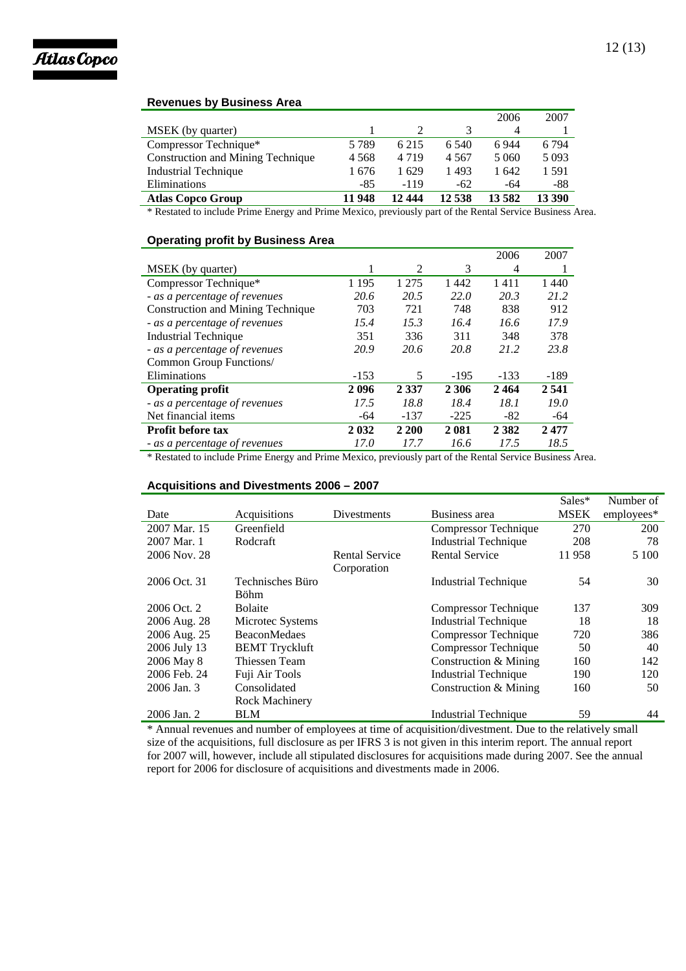

## **Revenues by Business Area**

|                                   |         |         |         | 2006    | 2007    |
|-----------------------------------|---------|---------|---------|---------|---------|
| MSEK (by quarter)                 |         |         |         | 4       |         |
| Compressor Technique*             | 5 7 8 9 | 6 2 1 5 | 6.540   | 6944    | 6 7 9 4 |
| Construction and Mining Technique | 4 5 6 8 | 4 7 1 9 | 4 5 6 7 | 5 0 6 0 | 5 0 9 3 |
| <b>Industrial Technique</b>       | 1676    | 1629    | 1493    | 1 642   | 1591    |
| Eliminations                      | -85     | -119    | $-62$   | -64     | -88     |
| <b>Atlas Copco Group</b>          | 11 948  | 12 444  | 12 538  | 13582   | 13 390  |

\* Restated to include Prime Energy and Prime Mexico, previously part of the Rental Service Business Area.

## **Operating profit by Business Area**

|                                   |         |         |         | 2006    | 2007   |
|-----------------------------------|---------|---------|---------|---------|--------|
| MSEK (by quarter)                 |         | 2       | 3       | 4       |        |
| Compressor Technique*             | 1 1 9 5 | 1 2 7 5 | 1442    | 1411    | 1440   |
| - as a percentage of revenues     | 20.6    | 20.5    | 22.0    | 20.3    | 21.2   |
| Construction and Mining Technique | 703     | 721     | 748     | 838     | 912    |
| - as a percentage of revenues     | 15.4    | 15.3    | 16.4    | 16.6    | 17.9   |
| Industrial Technique              | 351     | 336     | 311     | 348     | 378    |
| - as a percentage of revenues     | 20.9    | 20.6    | 20.8    | 21.2    | 23.8   |
| Common Group Functions/           |         |         |         |         |        |
| Eliminations                      | $-153$  | 5       | $-195$  | $-133$  | $-189$ |
| <b>Operating profit</b>           | 2096    | 2 3 3 7 | 2 3 0 6 | 2464    | 2541   |
| - as a percentage of revenues     | 17.5    | 18.8    | 18.4    | 18.1    | 19.0   |
| Net financial items               | -64     | $-137$  | $-225$  | -82     | -64    |
| <b>Profit before tax</b>          | 2 0 3 2 | 2 200   | 2 0 8 1 | 2 3 8 2 | 2477   |
| - as a percentage of revenues     | 17.0    | 17.7    | 16.6    | 17.5    | 18.5   |

\* Restated to include Prime Energy and Prime Mexico, previously part of the Rental Service Business Area.

## **Acquisitions and Divestments 2006 – 2007**

|              |                                 |                       |                             | Sales*      | Number of  |
|--------------|---------------------------------|-----------------------|-----------------------------|-------------|------------|
| Date         | Acquisitions                    | Divestments           | Business area               | <b>MSEK</b> | employees* |
| 2007 Mar. 15 | Greenfield                      |                       | Compressor Technique        | 270         | 200        |
| 2007 Mar. 1  | Rodcraft                        |                       | <b>Industrial Technique</b> | 208         | 78         |
| 2006 Nov. 28 |                                 | <b>Rental Service</b> | <b>Rental Service</b>       | 11958       | 5 1 0 0    |
|              |                                 | Corporation           |                             |             |            |
| 2006 Oct. 31 | Technisches Büro<br><b>Böhm</b> |                       | Industrial Technique        | 54          | 30         |
| 2006 Oct. 2  | <b>Bolaite</b>                  |                       | Compressor Technique        | 137         | 309        |
| 2006 Aug. 28 | Microtec Systems                |                       | Industrial Technique        | 18          | 18         |
| 2006 Aug. 25 | <b>BeaconMedaes</b>             |                       | Compressor Technique        | 720         | 386        |
| 2006 July 13 | <b>BEMT</b> Tryckluft           |                       | Compressor Technique        | 50          | 40         |
| 2006 May 8   | Thiessen Team                   |                       | Construction & Mining       | 160         | 142        |
| 2006 Feb. 24 | Fuji Air Tools                  |                       | <b>Industrial Technique</b> | 190         | 120        |
| 2006 Jan. 3  | Consolidated                    |                       | Construction & Mining       | 160         | 50         |
|              | Rock Machinery                  |                       |                             |             |            |
| 2006 Jan. 2  | <b>BLM</b>                      |                       | Industrial Technique        | 59          | 44         |

\* Annual revenues and number of employees at time of acquisition/divestment. Due to the relatively small size of the acquisitions, full disclosure as per IFRS 3 is not given in this interim report. The annual report for 2007 will, however, include all stipulated disclosures for acquisitions made during 2007. See the annual report for 2006 for disclosure of acquisitions and divestments made in 2006.